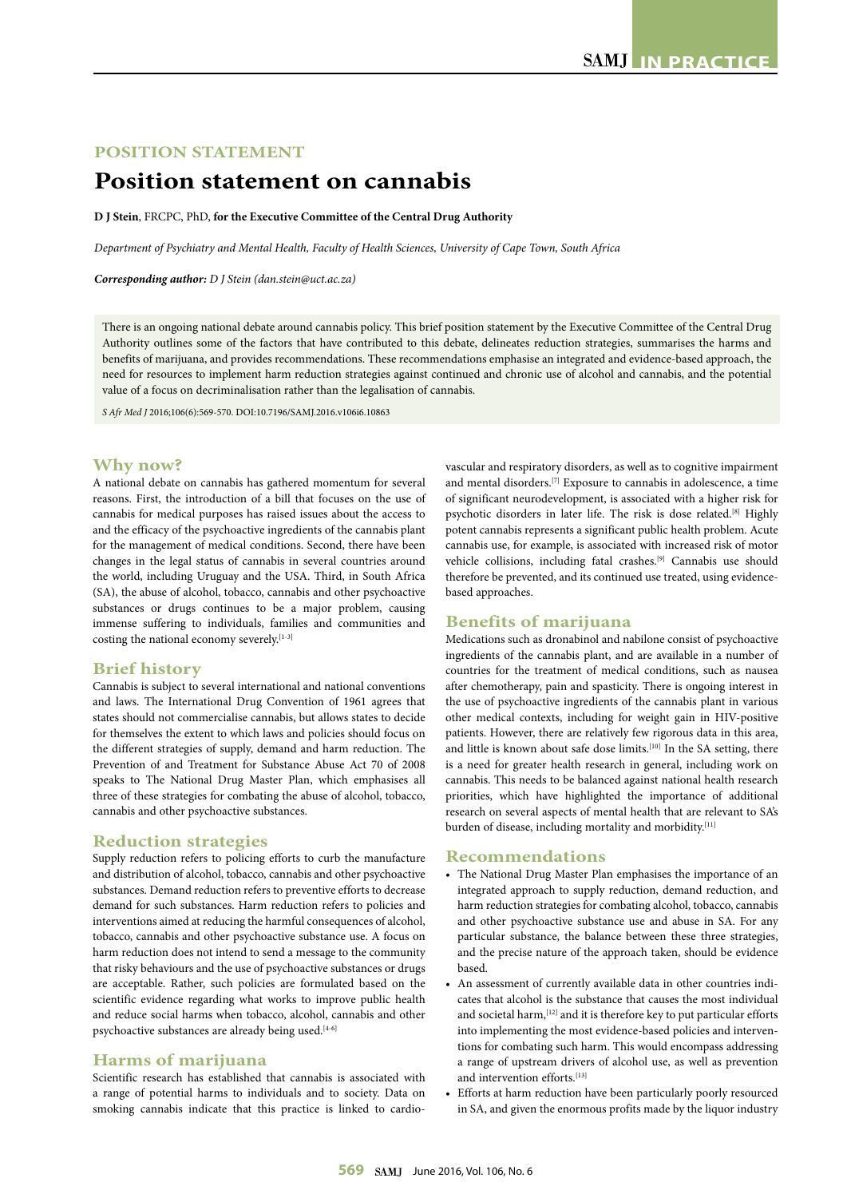# **POSITION STATEMENT**

# **Position statement on cannabis**

**D J Stein**, FRCPC, PhD, **for the Executive Committee of the Central Drug Authority**

*Department of Psychiatry and Mental Health, Faculty of Health Sciences, University of Cape Town, South Africa*

*Corresponding author: D J Stein (dan.stein@uct.ac.za)*

There is an ongoing national debate around cannabis policy. This brief position statement by the Executive Committee of the Central Drug Authority outlines some of the factors that have contributed to this debate, delineates reduction strategies, summarises the harms and benefits of marijuana, and provides recommendations. These recommendations emphasise an integrated and evidence-based approach, the need for resources to implement harm reduction strategies against continued and chronic use of alcohol and cannabis, and the potential value of a focus on decriminalisation rather than the legalisation of cannabis.

*S Afr Med J* 2016;106(6):569-570. DOI:10.7196/SAMJ.2016.v106i6.10863

# **Why now?**

A national debate on cannabis has gathered momentum for several reasons. First, the introduction of a bill that focuses on the use of cannabis for medical purposes has raised issues about the access to and the efficacy of the psychoactive ingredients of the cannabis plant for the management of medical conditions. Second, there have been changes in the legal status of cannabis in several countries around the world, including Uruguay and the USA. Third, in South Africa (SA), the abuse of alcohol, tobacco, cannabis and other psychoactive substances or drugs continues to be a major problem, causing immense suffering to individuals, families and communities and costing the national economy severely.<sup>[1-3]</sup>

#### **Brief history**

Cannabis is subject to several international and national conventions and laws. The International Drug Convention of 1961 agrees that states should not commercialise cannabis, but allows states to decide for themselves the extent to which laws and policies should focus on the different strategies of supply, demand and harm reduction. The Prevention of and Treatment for Substance Abuse Act 70 of 2008 speaks to The National Drug Master Plan, which emphasises all three of these strategies for combating the abuse of alcohol, tobacco, cannabis and other psychoactive substances.

#### **Reduction strategies**

Supply reduction refers to policing efforts to curb the manufacture and distribution of alcohol, tobacco, cannabis and other psychoactive substances. Demand reduction refers to preventive efforts to decrease demand for such substances. Harm reduction refers to policies and interventions aimed at reducing the harmful consequences of alcohol, tobacco, cannabis and other psychoactive substance use. A focus on harm reduction does not intend to send a message to the community that risky behaviours and the use of psychoactive substances or drugs are acceptable. Rather, such policies are formulated based on the scientific evidence regarding what works to improve public health and reduce social harms when tobacco, alcohol, cannabis and other psychoactive substances are already being used.<sup>[4-6]</sup>

### **Harms of marijuana**

Scientific research has established that cannabis is associated with a range of potential harms to individuals and to society. Data on smoking cannabis indicate that this practice is linked to cardiovascular and respiratory disorders, as well as to cognitive impairment and mental disorders.[7] Exposure to cannabis in adolescence, a time of significant neurodevelopment, is associated with a higher risk for psychotic disorders in later life. The risk is dose related.<sup>[8]</sup> Highly potent cannabis represents a significant public health problem. Acute cannabis use, for example, is associated with increased risk of motor vehicle collisions, including fatal crashes.[9] Cannabis use should therefore be prevented, and its continued use treated, using evidencebased approaches.

# **Benefits of marijuana**

Medications such as dronabinol and nabilone consist of psychoactive ingredients of the cannabis plant, and are available in a number of countries for the treatment of medical conditions, such as nausea after chemotherapy, pain and spasticity. There is ongoing interest in the use of psychoactive ingredients of the cannabis plant in various other medical contexts, including for weight gain in HIV-positive patients. However, there are relatively few rigorous data in this area, and little is known about safe dose limits.<sup>[10]</sup> In the SA setting, there is a need for greater health research in general, including work on cannabis. This needs to be balanced against national health research priorities, which have highlighted the importance of additional research on several aspects of mental health that are relevant to SA's burden of disease, including mortality and morbidity.<sup>[11]</sup>

## **Recommendations**

- The National Drug Master Plan emphasises the importance of an integrated approach to supply reduction, demand reduction, and harm reduction strategies for combating alcohol, tobacco, cannabis and other psychoactive substance use and abuse in SA. For any particular substance, the balance between these three strategies, and the precise nature of the approach taken, should be evidence based.
- An assessment of currently available data in other countries indicates that alcohol is the substance that causes the most individual and societal harm, <a>[12]</a> and it is therefore key to put particular efforts into implementing the most evidence-based policies and interventions for combating such harm. This would encompass addressing a range of upstream drivers of alcohol use, as well as prevention and intervention efforts.<sup>[13]</sup>
- Efforts at harm reduction have been particularly poorly resourced in SA, and given the enormous profits made by the liquor industry